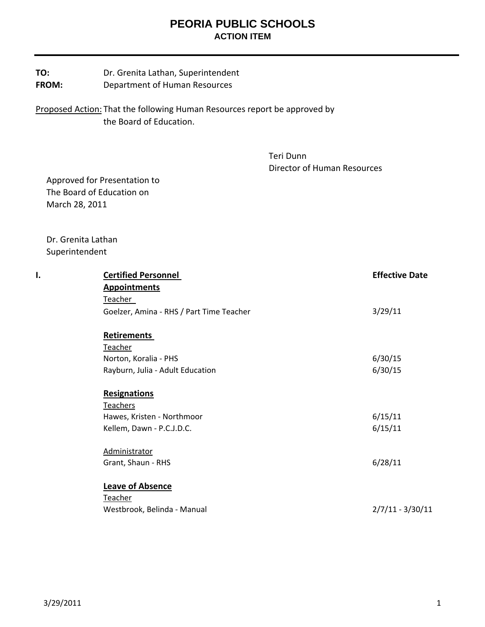## **PEORIA PUBLIC SCHOOLS ACTION ITEM**

| TO:   | Dr. Grenita Lathan, Superintendent |
|-------|------------------------------------|
| FROM: | Department of Human Resources      |

Proposed Action: That the following Human Resources report be approved by the Board of Education.

> Teri Dunn Director of Human Resources

 Approved for Presentation to The Board of Education on March 28, 2011

 Dr. Grenita Lathan Superintendent

| I. | <b>Certified Personnel</b>               | <b>Effective Date</b> |
|----|------------------------------------------|-----------------------|
|    | <b>Appointments</b>                      |                       |
|    | Teacher                                  |                       |
|    | Goelzer, Amina - RHS / Part Time Teacher | 3/29/11               |
|    | <b>Retirements</b>                       |                       |
|    | Teacher                                  |                       |
|    | Norton, Koralia - PHS                    | 6/30/15               |
|    | Rayburn, Julia - Adult Education         | 6/30/15               |
|    | <b>Resignations</b>                      |                       |
|    | <b>Teachers</b>                          |                       |
|    | Hawes, Kristen - Northmoor               | 6/15/11               |
|    | Kellem, Dawn - P.C.J.D.C.                | 6/15/11               |
|    | Administrator                            |                       |
|    | Grant, Shaun - RHS                       | 6/28/11               |
|    | <b>Leave of Absence</b>                  |                       |
|    | <b>Teacher</b>                           |                       |
|    | Westbrook, Belinda - Manual              | $2/7/11 - 3/30/11$    |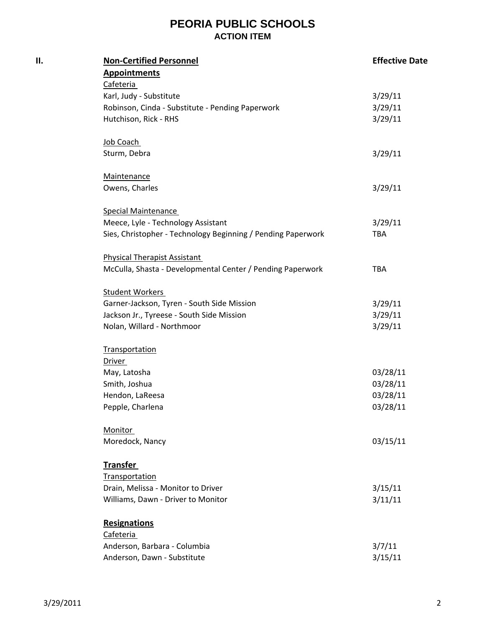## **PEORIA PUBLIC SCHOOLS ACTION ITEM**

| П. | <b>Non-Certified Personnel</b>                               | <b>Effective Date</b> |
|----|--------------------------------------------------------------|-----------------------|
|    | <b>Appointments</b>                                          |                       |
|    | Cafeteria                                                    |                       |
|    | Karl, Judy - Substitute                                      | 3/29/11               |
|    | Robinson, Cinda - Substitute - Pending Paperwork             | 3/29/11               |
|    | Hutchison, Rick - RHS                                        | 3/29/11               |
|    | Job Coach                                                    |                       |
|    | Sturm, Debra                                                 | 3/29/11               |
|    | Maintenance                                                  |                       |
|    | Owens, Charles                                               | 3/29/11               |
|    | <b>Special Maintenance</b>                                   |                       |
|    | Meece, Lyle - Technology Assistant                           | 3/29/11               |
|    | Sies, Christopher - Technology Beginning / Pending Paperwork | TBA                   |
|    | <b>Physical Therapist Assistant</b>                          |                       |
|    | McCulla, Shasta - Developmental Center / Pending Paperwork   | TBA                   |
|    | <b>Student Workers</b>                                       |                       |
|    | Garner-Jackson, Tyren - South Side Mission                   | 3/29/11               |
|    | Jackson Jr., Tyreese - South Side Mission                    | 3/29/11               |
|    | Nolan, Willard - Northmoor                                   | 3/29/11               |
|    | Transportation                                               |                       |
|    | Driver                                                       |                       |
|    | May, Latosha                                                 | 03/28/11              |
|    | Smith, Joshua                                                | 03/28/11              |
|    | Hendon, LaReesa                                              | 03/28/11              |
|    | Pepple, Charlena                                             | 03/28/11              |
|    | <b>Monitor</b>                                               |                       |
|    | Moredock, Nancy                                              | 03/15/11              |
|    | <b>Transfer</b>                                              |                       |
|    | Transportation                                               |                       |
|    | Drain, Melissa - Monitor to Driver                           | 3/15/11               |
|    | Williams, Dawn - Driver to Monitor                           | 3/11/11               |
|    | <b>Resignations</b>                                          |                       |
|    | Cafeteria                                                    |                       |
|    | Anderson, Barbara - Columbia                                 | 3/7/11                |
|    | Anderson, Dawn - Substitute                                  | 3/15/11               |